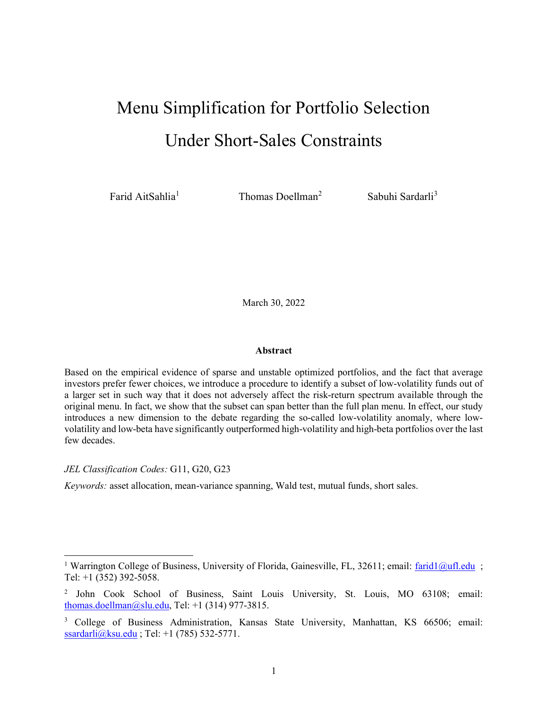# Menu Simplification for Portfolio Selection Under Short-Sales Constraints

Farid AitSahlia<sup>1</sup>

Thomas Doellman<sup>2</sup>

Sabuhi Sardarli<sup>3</sup>

March 30, 2022

#### Abstract

Based on the empirical evidence of sparse and unstable optimized portfolios, and the fact that average investors prefer fewer choices, we introduce a procedure to identify a subset of low-volatility funds out of a larger set in such way that it does not adversely affect the risk-return spectrum available through the original menu. In fact, we show that the subset can span better than the full plan menu. In effect, our study introduces a new dimension to the debate regarding the so-called low-volatility anomaly, where lowvolatility and low-beta have significantly outperformed high-volatility and high-beta portfolios over the last few decades.

JEL Classification Codes: G11, G20, G23

 $\overline{a}$ 

Keywords: asset allocation, mean-variance spanning, Wald test, mutual funds, short sales.

<sup>&</sup>lt;sup>1</sup> Warrington College of Business, University of Florida, Gainesville, FL, 32611; email: farid1@ufl.edu ; Tel: +1 (352) 392-5058.

<sup>&</sup>lt;sup>2</sup> John Cook School of Business, Saint Louis University, St. Louis, MO 63108; email: thomas.doellman@slu.edu, Tel:  $+1$  (314) 977-3815.

<sup>&</sup>lt;sup>3</sup> College of Business Administration, Kansas State University, Manhattan, KS 66506; email: ssardarli@ksu.edu ; Tel: +1 (785) 532-5771.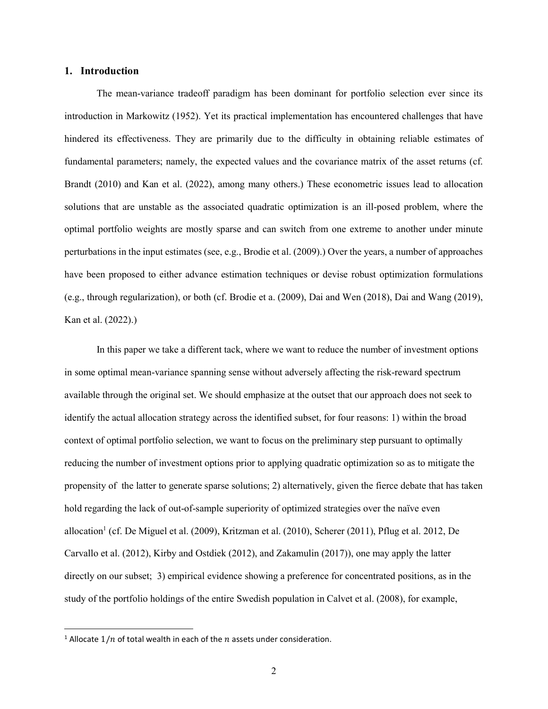#### 1. Introduction

The mean-variance tradeoff paradigm has been dominant for portfolio selection ever since its introduction in Markowitz (1952). Yet its practical implementation has encountered challenges that have hindered its effectiveness. They are primarily due to the difficulty in obtaining reliable estimates of fundamental parameters; namely, the expected values and the covariance matrix of the asset returns (cf. Brandt (2010) and Kan et al. (2022), among many others.) These econometric issues lead to allocation solutions that are unstable as the associated quadratic optimization is an ill-posed problem, where the optimal portfolio weights are mostly sparse and can switch from one extreme to another under minute perturbations in the input estimates (see, e.g., Brodie et al. (2009).) Over the years, a number of approaches have been proposed to either advance estimation techniques or devise robust optimization formulations (e.g., through regularization), or both (cf. Brodie et a. (2009), Dai and Wen (2018), Dai and Wang (2019), Kan et al. (2022).)

In this paper we take a different tack, where we want to reduce the number of investment options in some optimal mean-variance spanning sense without adversely affecting the risk-reward spectrum available through the original set. We should emphasize at the outset that our approach does not seek to identify the actual allocation strategy across the identified subset, for four reasons: 1) within the broad context of optimal portfolio selection, we want to focus on the preliminary step pursuant to optimally reducing the number of investment options prior to applying quadratic optimization so as to mitigate the propensity of the latter to generate sparse solutions; 2) alternatively, given the fierce debate that has taken hold regarding the lack of out-of-sample superiority of optimized strategies over the naïve even allocation<sup>1</sup> (cf. De Miguel et al. (2009), Kritzman et al. (2010), Scherer (2011), Pflug et al. 2012, De Carvallo et al. (2012), Kirby and Ostdiek (2012), and Zakamulin (2017)), one may apply the latter directly on our subset; 3) empirical evidence showing a preference for concentrated positions, as in the study of the portfolio holdings of the entire Swedish population in Calvet et al. (2008), for example,

<sup>&</sup>lt;sup>1</sup> Allocate  $1/n$  of total wealth in each of the  $n$  assets under consideration.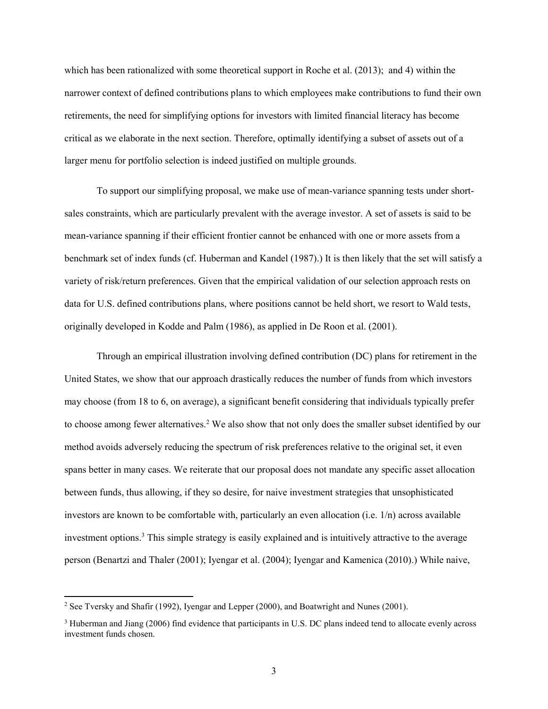which has been rationalized with some theoretical support in Roche et al. (2013); and 4) within the narrower context of defined contributions plans to which employees make contributions to fund their own retirements, the need for simplifying options for investors with limited financial literacy has become critical as we elaborate in the next section. Therefore, optimally identifying a subset of assets out of a larger menu for portfolio selection is indeed justified on multiple grounds.

To support our simplifying proposal, we make use of mean-variance spanning tests under shortsales constraints, which are particularly prevalent with the average investor. A set of assets is said to be mean-variance spanning if their efficient frontier cannot be enhanced with one or more assets from a benchmark set of index funds (cf. Huberman and Kandel (1987).) It is then likely that the set will satisfy a variety of risk/return preferences. Given that the empirical validation of our selection approach rests on data for U.S. defined contributions plans, where positions cannot be held short, we resort to Wald tests, originally developed in Kodde and Palm (1986), as applied in De Roon et al. (2001).

Through an empirical illustration involving defined contribution (DC) plans for retirement in the United States, we show that our approach drastically reduces the number of funds from which investors may choose (from 18 to 6, on average), a significant benefit considering that individuals typically prefer to choose among fewer alternatives.<sup>2</sup> We also show that not only does the smaller subset identified by our method avoids adversely reducing the spectrum of risk preferences relative to the original set, it even spans better in many cases. We reiterate that our proposal does not mandate any specific asset allocation between funds, thus allowing, if they so desire, for naive investment strategies that unsophisticated investors are known to be comfortable with, particularly an even allocation (i.e. 1/n) across available investment options.<sup>3</sup> This simple strategy is easily explained and is intuitively attractive to the average person (Benartzi and Thaler (2001); Iyengar et al. (2004); Iyengar and Kamenica (2010).) While naive,

<sup>&</sup>lt;sup>2</sup> See Tversky and Shafir (1992), Iyengar and Lepper (2000), and Boatwright and Nunes (2001).

<sup>&</sup>lt;sup>3</sup> Huberman and Jiang (2006) find evidence that participants in U.S. DC plans indeed tend to allocate evenly across investment funds chosen.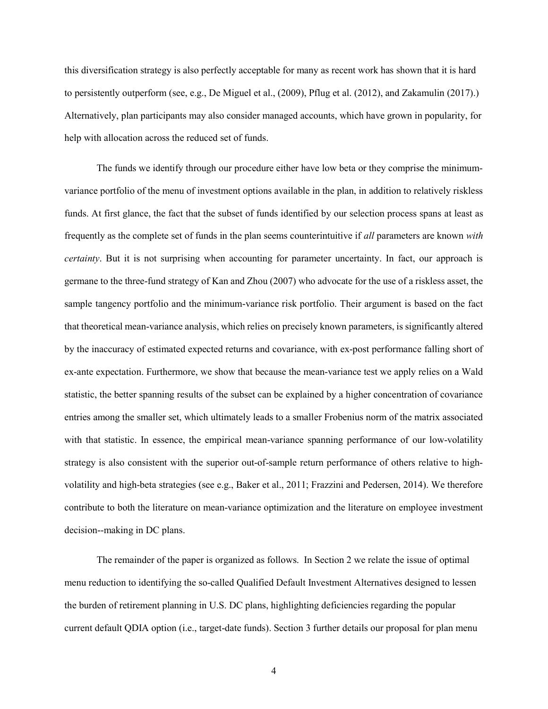this diversification strategy is also perfectly acceptable for many as recent work has shown that it is hard to persistently outperform (see, e.g., De Miguel et al., (2009), Pflug et al. (2012), and Zakamulin (2017).) Alternatively, plan participants may also consider managed accounts, which have grown in popularity, for help with allocation across the reduced set of funds.

The funds we identify through our procedure either have low beta or they comprise the minimumvariance portfolio of the menu of investment options available in the plan, in addition to relatively riskless funds. At first glance, the fact that the subset of funds identified by our selection process spans at least as frequently as the complete set of funds in the plan seems counterintuitive if all parameters are known with certainty. But it is not surprising when accounting for parameter uncertainty. In fact, our approach is germane to the three-fund strategy of Kan and Zhou (2007) who advocate for the use of a riskless asset, the sample tangency portfolio and the minimum-variance risk portfolio. Their argument is based on the fact that theoretical mean-variance analysis, which relies on precisely known parameters, is significantly altered by the inaccuracy of estimated expected returns and covariance, with ex-post performance falling short of ex-ante expectation. Furthermore, we show that because the mean-variance test we apply relies on a Wald statistic, the better spanning results of the subset can be explained by a higher concentration of covariance entries among the smaller set, which ultimately leads to a smaller Frobenius norm of the matrix associated with that statistic. In essence, the empirical mean-variance spanning performance of our low-volatility strategy is also consistent with the superior out-of-sample return performance of others relative to highvolatility and high-beta strategies (see e.g., Baker et al., 2011; Frazzini and Pedersen, 2014). We therefore contribute to both the literature on mean-variance optimization and the literature on employee investment decision--making in DC plans.

The remainder of the paper is organized as follows. In Section 2 we relate the issue of optimal menu reduction to identifying the so-called Qualified Default Investment Alternatives designed to lessen the burden of retirement planning in U.S. DC plans, highlighting deficiencies regarding the popular current default QDIA option (i.e., target-date funds). Section 3 further details our proposal for plan menu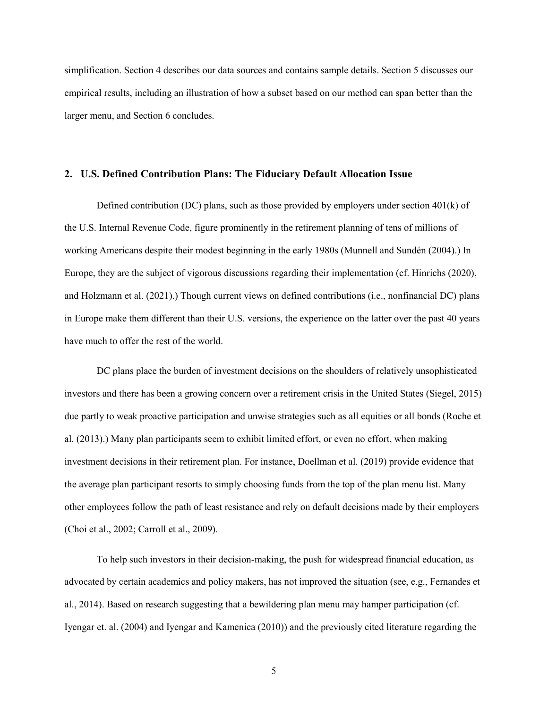simplification. Section 4 describes our data sources and contains sample details. Section 5 discusses our empirical results, including an illustration of how a subset based on our method can span better than the larger menu, and Section 6 concludes.

#### 2. U.S. Defined Contribution Plans: The Fiduciary Default Allocation Issue

Defined contribution (DC) plans, such as those provided by employers under section  $401(k)$  of the U.S. Internal Revenue Code, figure prominently in the retirement planning of tens of millions of working Americans despite their modest beginning in the early 1980s (Munnell and Sundén (2004).) In Europe, they are the subject of vigorous discussions regarding their implementation (cf. Hinrichs (2020), and Holzmann et al. (2021).) Though current views on defined contributions (i.e., nonfinancial DC) plans in Europe make them different than their U.S. versions, the experience on the latter over the past 40 years have much to offer the rest of the world.

DC plans place the burden of investment decisions on the shoulders of relatively unsophisticated investors and there has been a growing concern over a retirement crisis in the United States (Siegel, 2015) due partly to weak proactive participation and unwise strategies such as all equities or all bonds (Roche et al. (2013).) Many plan participants seem to exhibit limited effort, or even no effort, when making investment decisions in their retirement plan. For instance, Doellman et al. (2019) provide evidence that the average plan participant resorts to simply choosing funds from the top of the plan menu list. Many other employees follow the path of least resistance and rely on default decisions made by their employers (Choi et al., 2002; Carroll et al., 2009).

To help such investors in their decision-making, the push for widespread financial education, as advocated by certain academics and policy makers, has not improved the situation (see, e.g., Fernandes et al., 2014). Based on research suggesting that a bewildering plan menu may hamper participation (cf. Iyengar et. al. (2004) and Iyengar and Kamenica (2010)) and the previously cited literature regarding the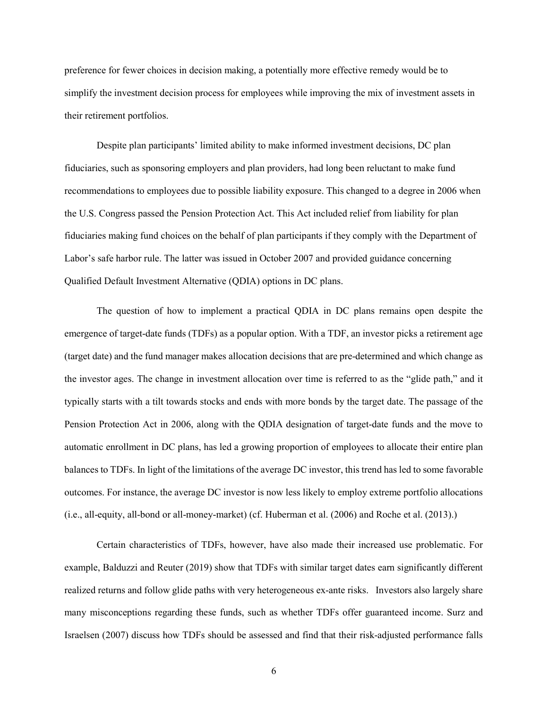preference for fewer choices in decision making, a potentially more effective remedy would be to simplify the investment decision process for employees while improving the mix of investment assets in their retirement portfolios.

Despite plan participants' limited ability to make informed investment decisions, DC plan fiduciaries, such as sponsoring employers and plan providers, had long been reluctant to make fund recommendations to employees due to possible liability exposure. This changed to a degree in 2006 when the U.S. Congress passed the Pension Protection Act. This Act included relief from liability for plan fiduciaries making fund choices on the behalf of plan participants if they comply with the Department of Labor's safe harbor rule. The latter was issued in October 2007 and provided guidance concerning Qualified Default Investment Alternative (QDIA) options in DC plans.

The question of how to implement a practical QDIA in DC plans remains open despite the emergence of target-date funds (TDFs) as a popular option. With a TDF, an investor picks a retirement age (target date) and the fund manager makes allocation decisions that are pre-determined and which change as the investor ages. The change in investment allocation over time is referred to as the "glide path," and it typically starts with a tilt towards stocks and ends with more bonds by the target date. The passage of the Pension Protection Act in 2006, along with the QDIA designation of target-date funds and the move to automatic enrollment in DC plans, has led a growing proportion of employees to allocate their entire plan balances to TDFs. In light of the limitations of the average DC investor, this trend has led to some favorable outcomes. For instance, the average DC investor is now less likely to employ extreme portfolio allocations (i.e., all-equity, all-bond or all-money-market) (cf. Huberman et al. (2006) and Roche et al. (2013).)

Certain characteristics of TDFs, however, have also made their increased use problematic. For example, Balduzzi and Reuter (2019) show that TDFs with similar target dates earn significantly different realized returns and follow glide paths with very heterogeneous ex-ante risks. Investors also largely share many misconceptions regarding these funds, such as whether TDFs offer guaranteed income. Surz and Israelsen (2007) discuss how TDFs should be assessed and find that their risk-adjusted performance falls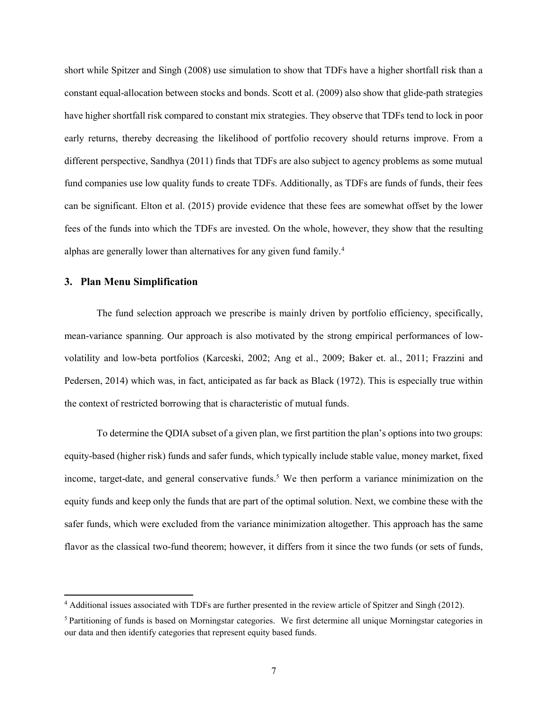short while Spitzer and Singh (2008) use simulation to show that TDFs have a higher shortfall risk than a constant equal-allocation between stocks and bonds. Scott et al. (2009) also show that glide-path strategies have higher shortfall risk compared to constant mix strategies. They observe that TDFs tend to lock in poor early returns, thereby decreasing the likelihood of portfolio recovery should returns improve. From a different perspective, Sandhya (2011) finds that TDFs are also subject to agency problems as some mutual fund companies use low quality funds to create TDFs. Additionally, as TDFs are funds of funds, their fees can be significant. Elton et al. (2015) provide evidence that these fees are somewhat offset by the lower fees of the funds into which the TDFs are invested. On the whole, however, they show that the resulting alphas are generally lower than alternatives for any given fund family.<sup>4</sup>

## 3. Plan Menu Simplification

 $\overline{a}$ 

The fund selection approach we prescribe is mainly driven by portfolio efficiency, specifically, mean-variance spanning. Our approach is also motivated by the strong empirical performances of lowvolatility and low-beta portfolios (Karceski, 2002; Ang et al., 2009; Baker et. al., 2011; Frazzini and Pedersen, 2014) which was, in fact, anticipated as far back as Black (1972). This is especially true within the context of restricted borrowing that is characteristic of mutual funds.

To determine the QDIA subset of a given plan, we first partition the plan's options into two groups: equity-based (higher risk) funds and safer funds, which typically include stable value, money market, fixed income, target-date, and general conservative funds.<sup>5</sup> We then perform a variance minimization on the equity funds and keep only the funds that are part of the optimal solution. Next, we combine these with the safer funds, which were excluded from the variance minimization altogether. This approach has the same flavor as the classical two-fund theorem; however, it differs from it since the two funds (or sets of funds,

<sup>4</sup> Additional issues associated with TDFs are further presented in the review article of Spitzer and Singh (2012).

<sup>&</sup>lt;sup>5</sup> Partitioning of funds is based on Morningstar categories. We first determine all unique Morningstar categories in our data and then identify categories that represent equity based funds.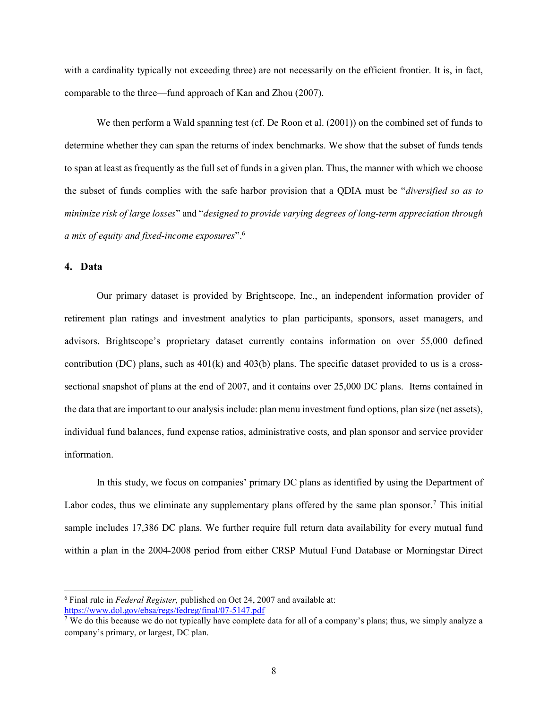with a cardinality typically not exceeding three) are not necessarily on the efficient frontier. It is, in fact, comparable to the three—fund approach of Kan and Zhou (2007).

We then perform a Wald spanning test (cf. De Roon et al. (2001)) on the combined set of funds to determine whether they can span the returns of index benchmarks. We show that the subset of funds tends to span at least as frequently as the full set of funds in a given plan. Thus, the manner with which we choose the subset of funds complies with the safe harbor provision that a QDIA must be "diversified so as to minimize risk of large losses" and "designed to provide varying degrees of long-term appreciation through a mix of equity and fixed-income exposures". $6$ 

## 4. Data

Our primary dataset is provided by Brightscope, Inc., an independent information provider of retirement plan ratings and investment analytics to plan participants, sponsors, asset managers, and advisors. Brightscope's proprietary dataset currently contains information on over 55,000 defined contribution (DC) plans, such as  $401(k)$  and  $403(b)$  plans. The specific dataset provided to us is a crosssectional snapshot of plans at the end of 2007, and it contains over 25,000 DC plans. Items contained in the data that are important to our analysis include: plan menu investment fund options, plan size (net assets), individual fund balances, fund expense ratios, administrative costs, and plan sponsor and service provider information.

In this study, we focus on companies' primary DC plans as identified by using the Department of Labor codes, thus we eliminate any supplementary plans offered by the same plan sponsor.<sup>7</sup> This initial sample includes 17,386 DC plans. We further require full return data availability for every mutual fund within a plan in the 2004-2008 period from either CRSP Mutual Fund Database or Morningstar Direct

 $6$  Final rule in Federal Register, published on Oct 24, 2007 and available at: https://www.dol.gov/ebsa/regs/fedreg/final/07-5147.pdf

<sup>&</sup>lt;sup>7</sup> We do this because we do not typically have complete data for all of a company's plans; thus, we simply analyze a company's primary, or largest, DC plan.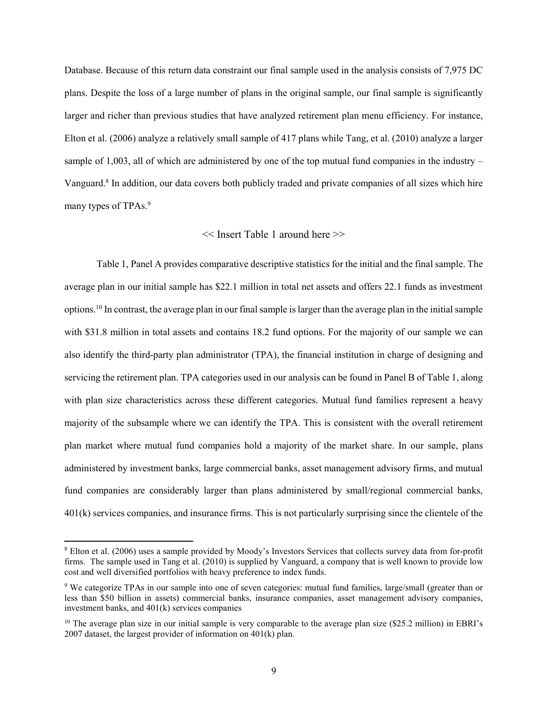Database. Because of this return data constraint our final sample used in the analysis consists of 7,975 DC plans. Despite the loss of a large number of plans in the original sample, our final sample is significantly larger and richer than previous studies that have analyzed retirement plan menu efficiency. For instance, Elton et al. (2006) analyze a relatively small sample of 417 plans while Tang, et al. (2010) analyze a larger sample of 1,003, all of which are administered by one of the top mutual fund companies in the industry – Vanguard.<sup>8</sup> In addition, our data covers both publicly traded and private companies of all sizes which hire many types of TPAs.<sup>9</sup>

#### << Insert Table 1 around here >>

Table 1, Panel A provides comparative descriptive statistics for the initial and the final sample. The average plan in our initial sample has \$22.1 million in total net assets and offers 22.1 funds as investment options.<sup>10</sup> In contrast, the average plan in our final sample is larger than the average plan in the initial sample with \$31.8 million in total assets and contains 18.2 fund options. For the majority of our sample we can also identify the third-party plan administrator (TPA), the financial institution in charge of designing and servicing the retirement plan. TPA categories used in our analysis can be found in Panel B of Table 1, along with plan size characteristics across these different categories. Mutual fund families represent a heavy majority of the subsample where we can identify the TPA. This is consistent with the overall retirement plan market where mutual fund companies hold a majority of the market share. In our sample, plans administered by investment banks, large commercial banks, asset management advisory firms, and mutual fund companies are considerably larger than plans administered by small/regional commercial banks, 401(k) services companies, and insurance firms. This is not particularly surprising since the clientele of the

 $\overline{a}$ 

<sup>&</sup>lt;sup>8</sup> Elton et al. (2006) uses a sample provided by Moody's Investors Services that collects survey data from for-profit firms. The sample used in Tang et al. (2010) is supplied by Vanguard, a company that is well known to provide low cost and well diversified portfolios with heavy preference to index funds.

<sup>&</sup>lt;sup>9</sup> We categorize TPAs in our sample into one of seven categories: mutual fund families, large/small (greater than or less than \$50 billion in assets) commercial banks, insurance companies, asset management advisory companies, investment banks, and 401(k) services companies

<sup>&</sup>lt;sup>10</sup> The average plan size in our initial sample is very comparable to the average plan size (\$25.2 million) in EBRI's 2007 dataset, the largest provider of information on 401(k) plan.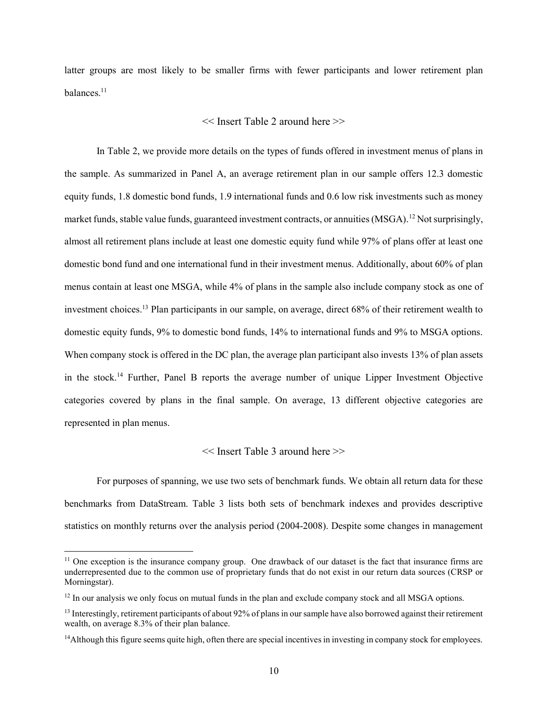latter groups are most likely to be smaller firms with fewer participants and lower retirement plan balances.<sup>11</sup>

#### << Insert Table 2 around here >>

In Table 2, we provide more details on the types of funds offered in investment menus of plans in the sample. As summarized in Panel A, an average retirement plan in our sample offers 12.3 domestic equity funds, 1.8 domestic bond funds, 1.9 international funds and 0.6 low risk investments such as money market funds, stable value funds, guaranteed investment contracts, or annuities  $(MSGA)^{12}$  Not surprisingly, almost all retirement plans include at least one domestic equity fund while 97% of plans offer at least one domestic bond fund and one international fund in their investment menus. Additionally, about 60% of plan menus contain at least one MSGA, while 4% of plans in the sample also include company stock as one of investment choices.<sup>13</sup> Plan participants in our sample, on average, direct 68% of their retirement wealth to domestic equity funds, 9% to domestic bond funds, 14% to international funds and 9% to MSGA options. When company stock is offered in the DC plan, the average plan participant also invests 13% of plan assets in the stock.<sup>14</sup> Further, Panel B reports the average number of unique Lipper Investment Objective categories covered by plans in the final sample. On average, 13 different objective categories are represented in plan menus.

#### << Insert Table 3 around here >>

For purposes of spanning, we use two sets of benchmark funds. We obtain all return data for these benchmarks from DataStream. Table 3 lists both sets of benchmark indexes and provides descriptive statistics on monthly returns over the analysis period (2004-2008). Despite some changes in management

 $11$  One exception is the insurance company group. One drawback of our dataset is the fact that insurance firms are underrepresented due to the common use of proprietary funds that do not exist in our return data sources (CRSP or Morningstar).

<sup>&</sup>lt;sup>12</sup> In our analysis we only focus on mutual funds in the plan and exclude company stock and all MSGA options.

 $<sup>13</sup>$  Interestingly, retirement participants of about 92% of plans in our sample have also borrowed against their retirement</sup> wealth, on average 8.3% of their plan balance.

<sup>&</sup>lt;sup>14</sup>Although this figure seems quite high, often there are special incentives in investing in company stock for employees.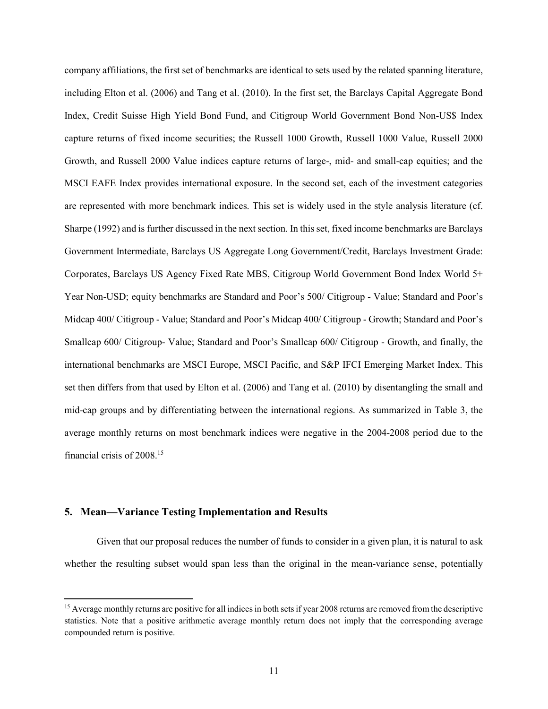company affiliations, the first set of benchmarks are identical to sets used by the related spanning literature, including Elton et al. (2006) and Tang et al. (2010). In the first set, the Barclays Capital Aggregate Bond Index, Credit Suisse High Yield Bond Fund, and Citigroup World Government Bond Non-US\$ Index capture returns of fixed income securities; the Russell 1000 Growth, Russell 1000 Value, Russell 2000 Growth, and Russell 2000 Value indices capture returns of large-, mid- and small-cap equities; and the MSCI EAFE Index provides international exposure. In the second set, each of the investment categories are represented with more benchmark indices. This set is widely used in the style analysis literature (cf. Sharpe (1992) and is further discussed in the next section. In this set, fixed income benchmarks are Barclays Government Intermediate, Barclays US Aggregate Long Government/Credit, Barclays Investment Grade: Corporates, Barclays US Agency Fixed Rate MBS, Citigroup World Government Bond Index World 5+ Year Non-USD; equity benchmarks are Standard and Poor's 500/ Citigroup - Value; Standard and Poor's Midcap 400/ Citigroup - Value; Standard and Poor's Midcap 400/ Citigroup - Growth; Standard and Poor's Smallcap 600/ Citigroup- Value; Standard and Poor's Smallcap 600/ Citigroup - Growth, and finally, the international benchmarks are MSCI Europe, MSCI Pacific, and S&P IFCI Emerging Market Index. This set then differs from that used by Elton et al. (2006) and Tang et al. (2010) by disentangling the small and mid-cap groups and by differentiating between the international regions. As summarized in Table 3, the average monthly returns on most benchmark indices were negative in the 2004-2008 period due to the financial crisis of 2008.<sup>15</sup>

## 5. Mean—Variance Testing Implementation and Results

Given that our proposal reduces the number of funds to consider in a given plan, it is natural to ask whether the resulting subset would span less than the original in the mean-variance sense, potentially

<sup>&</sup>lt;sup>15</sup> Average monthly returns are positive for all indices in both sets if year 2008 returns are removed from the descriptive statistics. Note that a positive arithmetic average monthly return does not imply that the corresponding average compounded return is positive.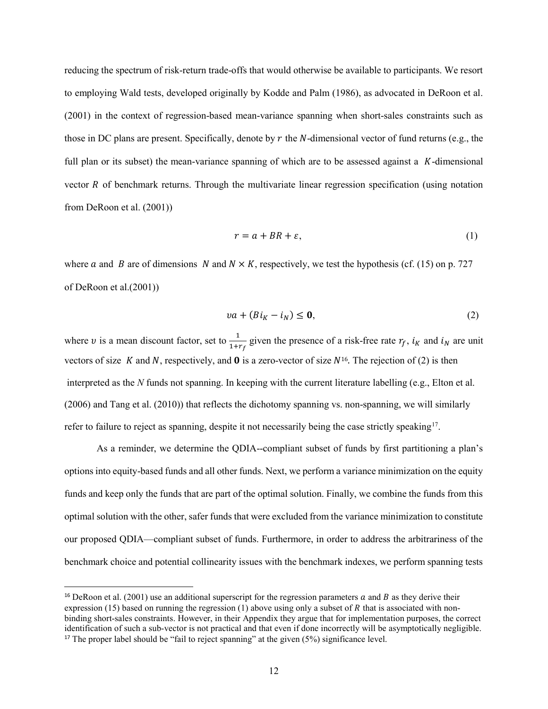reducing the spectrum of risk-return trade-offs that would otherwise be available to participants. We resort to employing Wald tests, developed originally by Kodde and Palm (1986), as advocated in DeRoon et al. (2001) in the context of regression-based mean-variance spanning when short-sales constraints such as those in DC plans are present. Specifically, denote by  $r$  the  $N$ -dimensional vector of fund returns (e.g., the full plan or its subset) the mean-variance spanning of which are to be assessed against a  $K$ -dimensional vector  $R$  of benchmark returns. Through the multivariate linear regression specification (using notation from DeRoon et al. (2001))

$$
r = a + BR + \varepsilon,\tag{1}
$$

where a and B are of dimensions N and  $N \times K$ , respectively, we test the hypothesis (cf. (15) on p. 727 of DeRoon et al.(2001))

$$
va + (BiK - iN) \le 0,
$$
\n(2)

where v is a mean discount factor, set to  $\frac{1}{1+r_f}$  given the presence of a risk-free rate  $r_f$ ,  $i_K$  and  $i_N$  are unit vectors of size K and N, respectively, and  $\bf{0}$  is a zero-vector of size  $N^{16}$ . The rejection of (2) is then interpreted as the N funds not spanning. In keeping with the current literature labelling (e.g., Elton et al. (2006) and Tang et al. (2010)) that reflects the dichotomy spanning vs. non-spanning, we will similarly refer to failure to reject as spanning, despite it not necessarily being the case strictly speaking<sup>17</sup>.

As a reminder, we determine the QDIA--compliant subset of funds by first partitioning a plan's options into equity-based funds and all other funds. Next, we perform a variance minimization on the equity funds and keep only the funds that are part of the optimal solution. Finally, we combine the funds from this optimal solution with the other, safer funds that were excluded from the variance minimization to constitute our proposed QDIA—compliant subset of funds. Furthermore, in order to address the arbitrariness of the benchmark choice and potential collinearity issues with the benchmark indexes, we perform spanning tests

<sup>&</sup>lt;sup>16</sup> DeRoon et al. (2001) use an additional superscript for the regression parameters  $a$  and  $B$  as they derive their expression (15) based on running the regression (1) above using only a subset of  $R$  that is associated with nonbinding short-sales constraints. However, in their Appendix they argue that for implementation purposes, the correct identification of such a sub-vector is not practical and that even if done incorrectly will be asymptotically negligible. <sup>17</sup> The proper label should be "fail to reject spanning" at the given  $(5\%)$  significance level.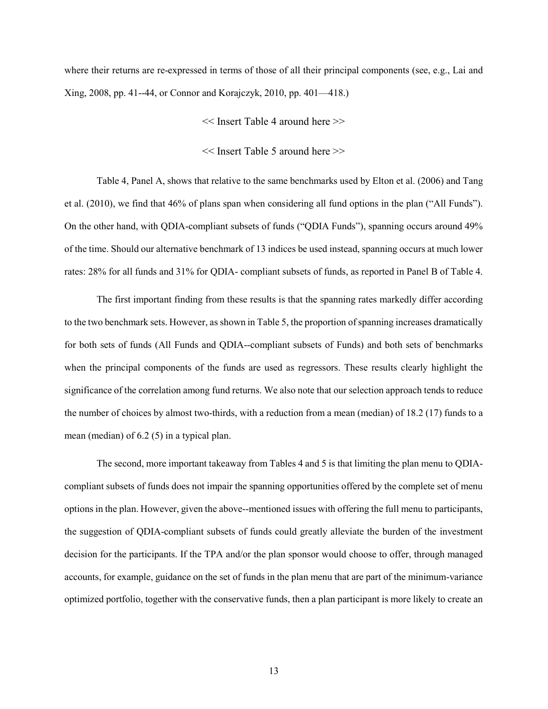where their returns are re-expressed in terms of those of all their principal components (see, e.g., Lai and Xing, 2008, pp. 41--44, or Connor and Korajczyk, 2010, pp. 401—418.)

- << Insert Table 4 around here >>
- << Insert Table 5 around here >>

Table 4, Panel A, shows that relative to the same benchmarks used by Elton et al. (2006) and Tang et al. (2010), we find that 46% of plans span when considering all fund options in the plan ("All Funds"). On the other hand, with QDIA-compliant subsets of funds ("QDIA Funds"), spanning occurs around 49% of the time. Should our alternative benchmark of 13 indices be used instead, spanning occurs at much lower rates: 28% for all funds and 31% for QDIA- compliant subsets of funds, as reported in Panel B of Table 4.

The first important finding from these results is that the spanning rates markedly differ according to the two benchmark sets. However, as shown in Table 5, the proportion of spanning increases dramatically for both sets of funds (All Funds and QDIA--compliant subsets of Funds) and both sets of benchmarks when the principal components of the funds are used as regressors. These results clearly highlight the significance of the correlation among fund returns. We also note that our selection approach tends to reduce the number of choices by almost two-thirds, with a reduction from a mean (median) of 18.2 (17) funds to a mean (median) of 6.2 (5) in a typical plan.

The second, more important takeaway from Tables 4 and 5 is that limiting the plan menu to QDIAcompliant subsets of funds does not impair the spanning opportunities offered by the complete set of menu options in the plan. However, given the above--mentioned issues with offering the full menu to participants, the suggestion of QDIA-compliant subsets of funds could greatly alleviate the burden of the investment decision for the participants. If the TPA and/or the plan sponsor would choose to offer, through managed accounts, for example, guidance on the set of funds in the plan menu that are part of the minimum-variance optimized portfolio, together with the conservative funds, then a plan participant is more likely to create an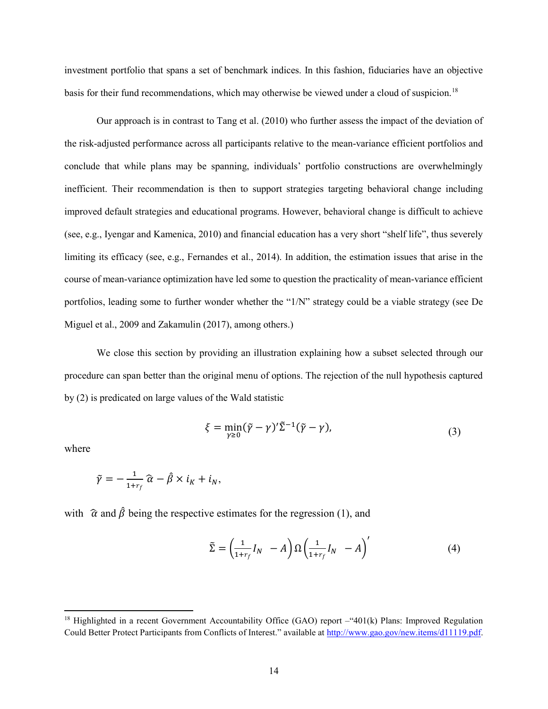investment portfolio that spans a set of benchmark indices. In this fashion, fiduciaries have an objective basis for their fund recommendations, which may otherwise be viewed under a cloud of suspicion.<sup>18</sup>

Our approach is in contrast to Tang et al. (2010) who further assess the impact of the deviation of the risk-adjusted performance across all participants relative to the mean-variance efficient portfolios and conclude that while plans may be spanning, individuals' portfolio constructions are overwhelmingly inefficient. Their recommendation is then to support strategies targeting behavioral change including improved default strategies and educational programs. However, behavioral change is difficult to achieve (see, e.g., Iyengar and Kamenica, 2010) and financial education has a very short "shelf life", thus severely limiting its efficacy (see, e.g., Fernandes et al., 2014). In addition, the estimation issues that arise in the course of mean-variance optimization have led some to question the practicality of mean-variance efficient portfolios, leading some to further wonder whether the "1/N" strategy could be a viable strategy (see De Miguel et al., 2009 and Zakamulin (2017), among others.)

We close this section by providing an illustration explaining how a subset selected through our procedure can span better than the original menu of options. The rejection of the null hypothesis captured by (2) is predicated on large values of the Wald statistic

$$
\xi = \min_{\gamma \ge 0} (\tilde{\gamma} - \gamma)' \tilde{\Sigma}^{-1} (\tilde{\gamma} - \gamma), \tag{3}
$$

where

 $\overline{a}$ 

$$
\tilde{\gamma} = -\frac{1}{1+r_f} \widehat{\alpha} - \widehat{\beta} \times i_K + i_N,
$$

with  $\hat{\alpha}$  and  $\hat{\beta}$  being the respective estimates for the regression (1), and

$$
\tilde{\Sigma} = \left(\frac{1}{1+r_f}I_N - A\right)\Omega\left(\frac{1}{1+r_f}I_N - A\right)'
$$
\n(4)

<sup>&</sup>lt;sup>18</sup> Highlighted in a recent Government Accountability Office (GAO) report –"401(k) Plans: Improved Regulation Could Better Protect Participants from Conflicts of Interest." available at http://www.gao.gov/new.items/d11119.pdf.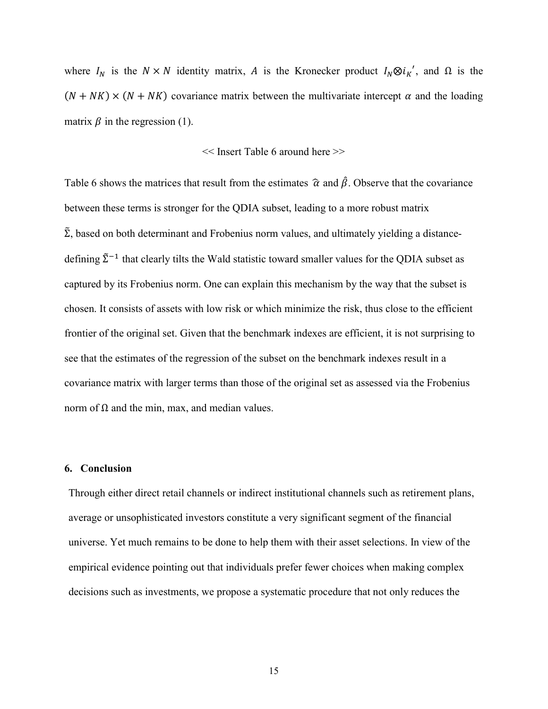where  $I_N$  is the  $N \times N$  identity matrix, A is the Kronecker product  $I_N \otimes i_K'$ , and  $\Omega$  is the  $(N + NK) \times (N + NK)$  covariance matrix between the multivariate intercept  $\alpha$  and the loading matrix  $\beta$  in the regression (1).

#### << Insert Table 6 around here >>

Table 6 shows the matrices that result from the estimates  $\hat{\alpha}$  and  $\hat{\beta}$ . Observe that the covariance between these terms is stronger for the QDIA subset, leading to a more robust matrix  $\tilde{\Sigma}$ , based on both determinant and Frobenius norm values, and ultimately yielding a distancedefining  $\tilde{\Sigma}^{-1}$  that clearly tilts the Wald statistic toward smaller values for the QDIA subset as captured by its Frobenius norm. One can explain this mechanism by the way that the subset is chosen. It consists of assets with low risk or which minimize the risk, thus close to the efficient frontier of the original set. Given that the benchmark indexes are efficient, it is not surprising to see that the estimates of the regression of the subset on the benchmark indexes result in a covariance matrix with larger terms than those of the original set as assessed via the Frobenius norm of  $Ω$  and the min, max, and median values.

#### 6. Conclusion

Through either direct retail channels or indirect institutional channels such as retirement plans, average or unsophisticated investors constitute a very significant segment of the financial universe. Yet much remains to be done to help them with their asset selections. In view of the empirical evidence pointing out that individuals prefer fewer choices when making complex decisions such as investments, we propose a systematic procedure that not only reduces the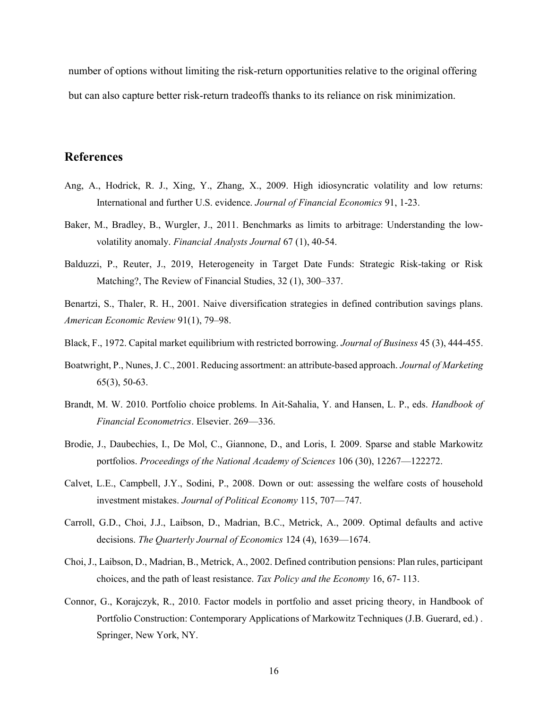number of options without limiting the risk-return opportunities relative to the original offering but can also capture better risk-return tradeoffs thanks to its reliance on risk minimization.

# References

- Ang, A., Hodrick, R. J., Xing, Y., Zhang, X., 2009. High idiosyncratic volatility and low returns: International and further U.S. evidence. Journal of Financial Economics 91, 1-23.
- Baker, M., Bradley, B., Wurgler, J., 2011. Benchmarks as limits to arbitrage: Understanding the lowvolatility anomaly. Financial Analysts Journal 67 (1), 40-54.
- Balduzzi, P., Reuter, J., 2019, Heterogeneity in Target Date Funds: Strategic Risk-taking or Risk Matching?, The Review of Financial Studies, 32 (1), 300–337.
- Benartzi, S., Thaler, R. H., 2001. Naive diversification strategies in defined contribution savings plans. American Economic Review 91(1), 79–98.
- Black, F., 1972. Capital market equilibrium with restricted borrowing. Journal of Business 45 (3), 444-455.
- Boatwright, P., Nunes, J. C., 2001. Reducing assortment: an attribute-based approach. Journal of Marketing 65(3), 50-63.
- Brandt, M. W. 2010. Portfolio choice problems. In Ait-Sahalia, Y. and Hansen, L. P., eds. *Handbook of* Financial Econometrics. Elsevier. 269—336.
- Brodie, J., Daubechies, I., De Mol, C., Giannone, D., and Loris, I. 2009. Sparse and stable Markowitz portfolios. Proceedings of the National Academy of Sciences 106 (30), 12267—122272.
- Calvet, L.E., Campbell, J.Y., Sodini, P., 2008. Down or out: assessing the welfare costs of household investment mistakes. Journal of Political Economy 115, 707—747.
- Carroll, G.D., Choi, J.J., Laibson, D., Madrian, B.C., Metrick, A., 2009. Optimal defaults and active decisions. The Quarterly Journal of Economics 124 (4), 1639—1674.
- Choi, J., Laibson, D., Madrian, B., Metrick, A., 2002. Defined contribution pensions: Plan rules, participant choices, and the path of least resistance. Tax Policy and the Economy 16, 67- 113.
- Connor, G., Korajczyk, R., 2010. Factor models in portfolio and asset pricing theory, in Handbook of Portfolio Construction: Contemporary Applications of Markowitz Techniques (J.B. Guerard, ed.) . Springer, New York, NY.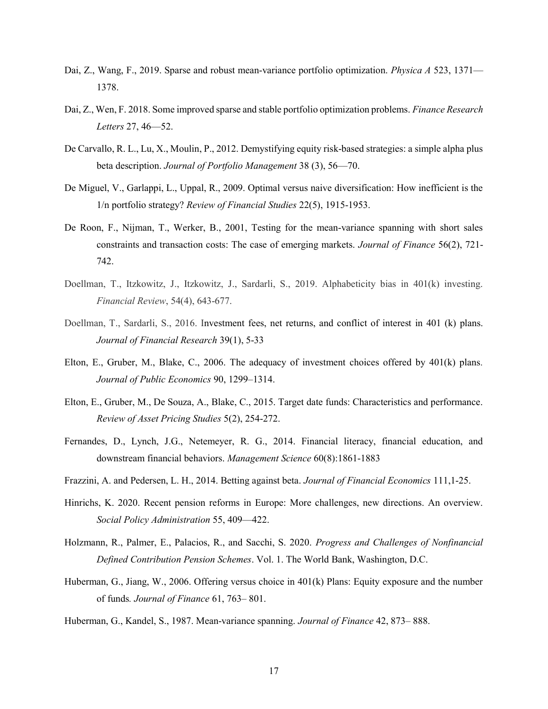- Dai, Z., Wang, F., 2019. Sparse and robust mean-variance portfolio optimization. Physica A 523, 1371— 1378.
- Dai, Z., Wen, F. 2018. Some improved sparse and stable portfolio optimization problems. Finance Research Letters 27, 46—52.
- De Carvallo, R. L., Lu, X., Moulin, P., 2012. Demystifying equity risk-based strategies: a simple alpha plus beta description. Journal of Portfolio Management 38 (3), 56—70.
- De Miguel, V., Garlappi, L., Uppal, R., 2009. Optimal versus naive diversification: How inefficient is the 1/n portfolio strategy? Review of Financial Studies 22(5), 1915-1953.
- De Roon, F., Nijman, T., Werker, B., 2001, Testing for the mean-variance spanning with short sales constraints and transaction costs: The case of emerging markets. Journal of Finance 56(2), 721- 742.
- Doellman, T., Itzkowitz, J., Itzkowitz, J., Sardarli, S., 2019. Alphabeticity bias in 401(k) investing. Financial Review, 54(4), 643-677.
- Doellman, T., Sardarli, S., 2016. Investment fees, net returns, and conflict of interest in 401 (k) plans. Journal of Financial Research 39(1), 5-33
- Elton, E., Gruber, M., Blake, C., 2006. The adequacy of investment choices offered by 401(k) plans. Journal of Public Economics 90, 1299–1314.
- Elton, E., Gruber, M., De Souza, A., Blake, C., 2015. Target date funds: Characteristics and performance. Review of Asset Pricing Studies 5(2), 254-272.
- Fernandes, D., Lynch, J.G., Netemeyer, R. G., 2014. Financial literacy, financial education, and downstream financial behaviors. Management Science 60(8):1861-1883
- Frazzini, A. and Pedersen, L. H., 2014. Betting against beta. Journal of Financial Economics 111,1-25.
- Hinrichs, K. 2020. Recent pension reforms in Europe: More challenges, new directions. An overview. Social Policy Administration 55, 409—422.
- Holzmann, R., Palmer, E., Palacios, R., and Sacchi, S. 2020. Progress and Challenges of Nonfinancial Defined Contribution Pension Schemes. Vol. 1. The World Bank, Washington, D.C.
- Huberman, G., Jiang, W., 2006. Offering versus choice in 401(k) Plans: Equity exposure and the number of funds. Journal of Finance 61, 763– 801.
- Huberman, G., Kandel, S., 1987. Mean-variance spanning. Journal of Finance 42, 873– 888.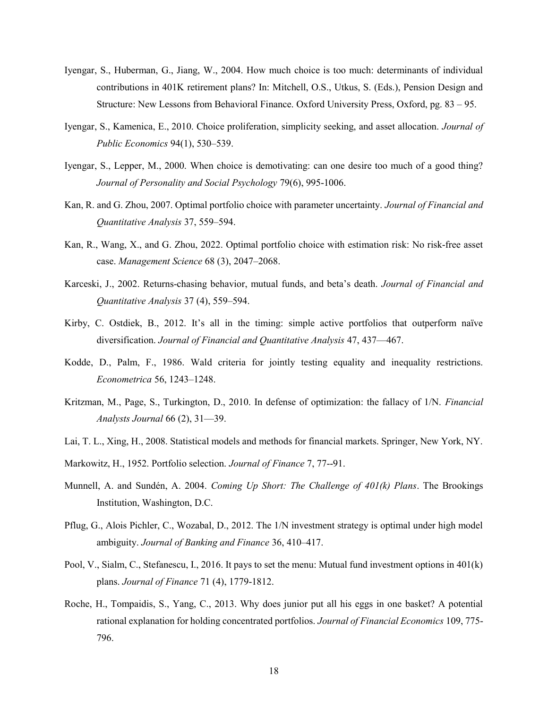- Iyengar, S., Huberman, G., Jiang, W., 2004. How much choice is too much: determinants of individual contributions in 401K retirement plans? In: Mitchell, O.S., Utkus, S. (Eds.), Pension Design and Structure: New Lessons from Behavioral Finance. Oxford University Press, Oxford, pg. 83 – 95.
- Iyengar, S., Kamenica, E., 2010. Choice proliferation, simplicity seeking, and asset allocation. Journal of Public Economics 94(1), 530–539.
- Iyengar, S., Lepper, M., 2000. When choice is demotivating: can one desire too much of a good thing? Journal of Personality and Social Psychology 79(6), 995-1006.
- Kan, R. and G. Zhou, 2007. Optimal portfolio choice with parameter uncertainty. Journal of Financial and Quantitative Analysis 37, 559–594.
- Kan, R., Wang, X., and G. Zhou, 2022. Optimal portfolio choice with estimation risk: No risk-free asset case. Management Science 68 (3), 2047–2068.
- Karceski, J., 2002. Returns-chasing behavior, mutual funds, and beta's death. Journal of Financial and Quantitative Analysis 37 (4), 559–594.
- Kirby, C. Ostdiek, B., 2012. It's all in the timing: simple active portfolios that outperform naïve diversification. Journal of Financial and Quantitative Analysis 47, 437—467.
- Kodde, D., Palm, F., 1986. Wald criteria for jointly testing equality and inequality restrictions. Econometrica 56, 1243–1248.
- Kritzman, M., Page, S., Turkington, D., 2010. In defense of optimization: the fallacy of 1/N. Financial Analysts Journal 66 (2), 31—39.
- Lai, T. L., Xing, H., 2008. Statistical models and methods for financial markets. Springer, New York, NY.
- Markowitz, H., 1952. Portfolio selection. Journal of Finance 7, 77--91.
- Munnell, A. and Sundén, A. 2004. Coming Up Short: The Challenge of  $401(k)$  Plans. The Brookings Institution, Washington, D.C.
- Pflug, G., Alois Pichler, C., Wozabal, D., 2012. The 1/N investment strategy is optimal under high model ambiguity. Journal of Banking and Finance 36, 410–417.
- Pool, V., Sialm, C., Stefanescu, I., 2016. It pays to set the menu: Mutual fund investment options in 401(k) plans. Journal of Finance 71 (4), 1779-1812.
- Roche, H., Tompaidis, S., Yang, C., 2013. Why does junior put all his eggs in one basket? A potential rational explanation for holding concentrated portfolios. Journal of Financial Economics 109, 775-796.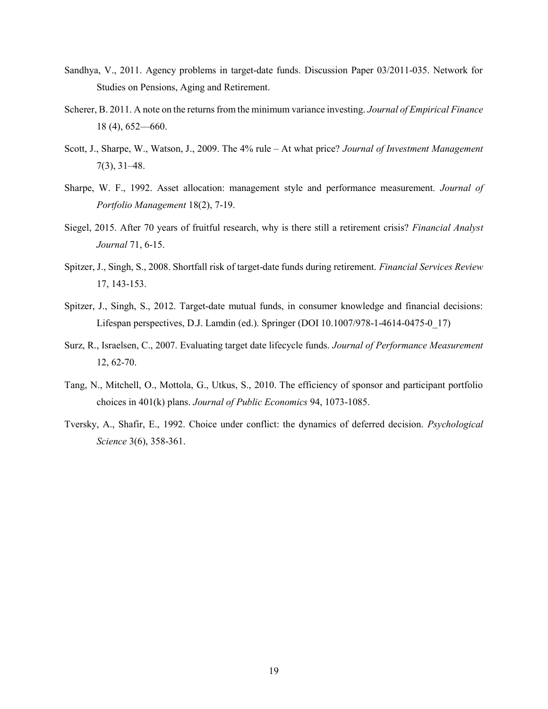- Sandhya, V., 2011. Agency problems in target-date funds. Discussion Paper 03/2011-035. Network for Studies on Pensions, Aging and Retirement.
- Scherer, B. 2011. A note on the returns from the minimum variance investing. Journal of Empirical Finance 18 (4), 652—660.
- Scott, J., Sharpe, W., Watson, J., 2009. The 4% rule At what price? Journal of Investment Management 7(3), 31–48.
- Sharpe, W. F., 1992. Asset allocation: management style and performance measurement. Journal of Portfolio Management 18(2), 7-19.
- Siegel, 2015. After 70 years of fruitful research, why is there still a retirement crisis? Financial Analyst Journal 71, 6-15.
- Spitzer, J., Singh, S., 2008. Shortfall risk of target-date funds during retirement. Financial Services Review 17, 143-153.
- Spitzer, J., Singh, S., 2012. Target-date mutual funds, in consumer knowledge and financial decisions: Lifespan perspectives, D.J. Lamdin (ed.). Springer (DOI 10.1007/978-1-4614-0475-0\_17)
- Surz, R., Israelsen, C., 2007. Evaluating target date lifecycle funds. Journal of Performance Measurement 12, 62-70.
- Tang, N., Mitchell, O., Mottola, G., Utkus, S., 2010. The efficiency of sponsor and participant portfolio choices in 401(k) plans. Journal of Public Economics 94, 1073-1085.
- Tversky, A., Shafir, E., 1992. Choice under conflict: the dynamics of deferred decision. Psychological Science 3(6), 358-361.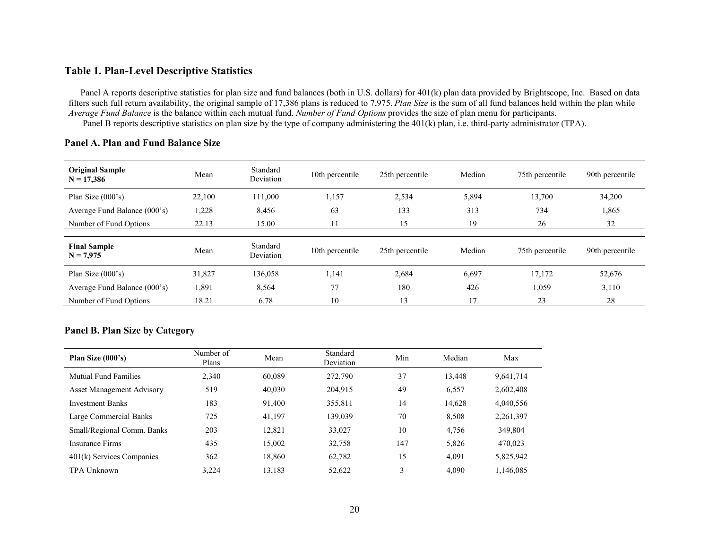## Table 1. Plan-Level Descriptive Statistics

Panel A reports descriptive statistics for plan size and fund balances (both in U.S. dollars) for 401(k) plan data provided by Brightscope, Inc. Based on data filters such full return availability, the original sample of 17,386 plans is reduced to 7,975. Plan Size is the sum of all fund balances held within the plan while Average Fund Balance is the balance within each mutual fund. Number of Fund Options provides the size of plan menu for participants. Panel B reports descriptive statistics on plan size by the type of company administering the 401(k) plan, i.e. third-party administrator (TPA).

| <b>Original Sample</b><br>$N = 17,386$ | Mean   | Standard<br>Deviation | 10th percentile | 25th percentile | Median | 75th percentile | 90th percentile |
|----------------------------------------|--------|-----------------------|-----------------|-----------------|--------|-----------------|-----------------|
| Plan Size $(000's)$                    | 22,100 | 111,000               | 1,157           | 2,534           | 5,894  | 13,700          | 34,200          |
| Average Fund Balance (000's)           | 1,228  | 8,456                 | 63              | 133             | 313    | 734             | 1,865           |
| Number of Fund Options                 | 22.13  | 15.00                 | 11              | 15              | 19     | 26              | 32              |
|                                        |        |                       |                 |                 |        |                 |                 |
| <b>Final Sample</b><br>$N = 7,975$     | Mean   | Standard<br>Deviation | 10th percentile | 25th percentile | Median | 75th percentile | 90th percentile |
| Plan Size $(000's)$                    | 31,827 | 136,058               | 1,141           | 2,684           | 6,697  | 17,172          | 52,676          |
| Average Fund Balance (000's)           | 1,891  | 8,564                 | 77              | 180             | 426    | 1,059           | 3,110           |
| Number of Fund Options                 | 18.21  | 6.78                  | 10              | 13              | 17     | 23              | 28              |

## Panel A. Plan and Fund Balance Size

## Panel B. Plan Size by Category

| Plan Size $(000's)$              | Number of<br>Plans | Mean   | Standard<br>Deviation | Min | Median | Max       |
|----------------------------------|--------------------|--------|-----------------------|-----|--------|-----------|
| Mutual Fund Families             | 2.340              | 60,089 | 272,790               | 37  | 13,448 | 9,641,714 |
| <b>Asset Management Advisory</b> | 519                | 40,030 | 204,915               | 49  | 6,557  | 2,602,408 |
| <b>Investment Banks</b>          | 183                | 91,400 | 355,811               | 14  | 14,628 | 4,040,556 |
| Large Commercial Banks           | 725                | 41,197 | 139,039               | 70  | 8.508  | 2,261,397 |
| Small/Regional Comm. Banks       | 203                | 12,821 | 33,027                | 10  | 4,756  | 349,804   |
| Insurance Firms                  | 435                | 15,002 | 32,758                | 147 | 5,826  | 470,023   |
| 401(k) Services Companies        | 362                | 18,860 | 62,782                | 15  | 4,091  | 5,825,942 |
| TPA Unknown                      | 3.224              | 13,183 | 52,622                | 3   | 4.090  | 1,146,085 |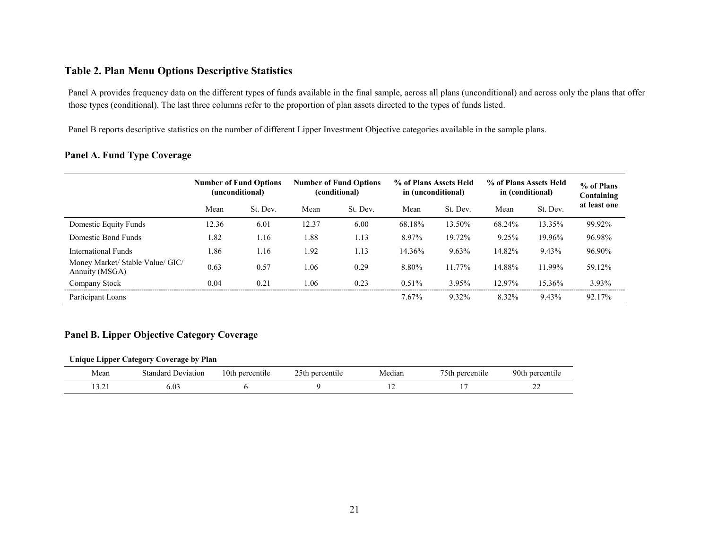## Table 2. Plan Menu Options Descriptive Statistics

Panel A provides frequency data on the different types of funds available in the final sample, across all plans (unconditional) and across only the plans that offer those types (conditional). The last three columns refer to the proportion of plan assets directed to the types of funds listed.

Panel B reports descriptive statistics on the number of different Lipper Investment Objective categories available in the sample plans.

## Panel A. Fund Type Coverage

|                                                    | <b>Number of Fund Options</b><br>(unconditional) |          | <b>Number of Fund Options</b><br>(conditional) |          | % of Plans Assets Held<br>in (unconditional) |          | % of Plans Assets Held<br>in (conditional) |          | % of Plans<br>Containing |
|----------------------------------------------------|--------------------------------------------------|----------|------------------------------------------------|----------|----------------------------------------------|----------|--------------------------------------------|----------|--------------------------|
|                                                    | Mean                                             | St. Dev. | Mean                                           | St. Dev. | Mean                                         | St. Dev. | Mean                                       | St. Dev. | at least one             |
| Domestic Equity Funds                              | 12.36                                            | 6.01     | 12.37                                          | 6.00     | 68.18%                                       | 13.50%   | 68.24%                                     | 13.35%   | 99.92%                   |
| Domestic Bond Funds                                | 1.82                                             | 1.16     | 1.88                                           | 1.13     | 8.97%                                        | 19.72%   | 9.25%                                      | 19.96%   | 96.98%                   |
| International Funds                                | 1.86                                             | 1.16     | 1.92                                           | 1.13     | 14.36%                                       | 9.63%    | 14.82%                                     | 9.43%    | 96.90%                   |
| Money Market/ Stable Value/ GIC/<br>Annuity (MSGA) | 0.63                                             | 0.57     | 1.06                                           | 0.29     | 8.80%                                        | 11.77%   | 14.88%                                     | 11.99%   | 59.12%                   |
| Company Stock                                      | 0.04                                             | 0.21     | l.06                                           | 0.23     | $0.51\%$                                     | 3.95%    | $12.97\%$                                  | 15.36%   | 3.93%                    |
| Participant Loans                                  |                                                  |          |                                                |          | 7.67%                                        | 9.32%    | 8.32%                                      | 9.43%    | 92.17%                   |

## Panel B. Lipper Objective Category Coverage

#### Unique Lipper Category Coverage by Plan

| Mean                      | $\sim$<br>.standard .<br>Jeviation | 10th-<br>percentile | percentile<br>\th<br>__ | ∕ledian | 75th<br>percentile | 90th<br>maxmax<br>. Jenuite |
|---------------------------|------------------------------------|---------------------|-------------------------|---------|--------------------|-----------------------------|
| $\sim$ $\sim$<br>ال سکہ ف | $\mathbf{r}$<br>9.U.<br>$ -$       |                     |                         |         |                    | ^′<br>∠∠                    |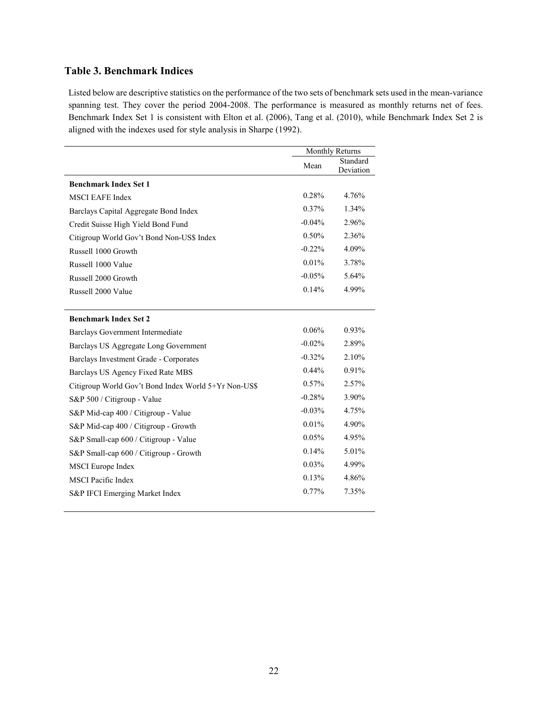# Table 3. Benchmark Indices

Listed below are descriptive statistics on the performance of the two sets of benchmark sets used in the mean-variance spanning test. They cover the period 2004-2008. The performance is measured as monthly returns net of fees. Benchmark Index Set 1 is consistent with Elton et al. (2006), Tang et al. (2010), while Benchmark Index Set 2 is aligned with the indexes used for style analysis in Sharpe (1992).

|                                                      | Monthly Returns |                       |
|------------------------------------------------------|-----------------|-----------------------|
|                                                      | Mean            | Standard<br>Deviation |
| <b>Benchmark Index Set 1</b>                         |                 |                       |
| <b>MSCI EAFE Index</b>                               | 0.28%           | 4.76%                 |
| Barclays Capital Aggregate Bond Index                | 0.37%           | 1.34%                 |
| Credit Suisse High Yield Bond Fund                   | $-0.04%$        | 2.96%                 |
| Citigroup World Gov't Bond Non-US\$ Index            | $0.50\%$        | 2.36%                 |
| Russell 1000 Growth                                  | $-0.22\%$       | 4.09%                 |
| Russell 1000 Value                                   | 0.01%           | 3.78%                 |
| Russell 2000 Growth                                  | $-0.05%$        | 5.64%                 |
| Russell 2000 Value                                   | 0.14%           | 4.99%                 |
|                                                      |                 |                       |
| <b>Benchmark Index Set 2</b>                         |                 |                       |
| Barclays Government Intermediate                     | 0.06%           | 0.93%                 |
| Barclays US Aggregate Long Government                | $-0.02%$        | 2.89%                 |
| Barclays Investment Grade - Corporates               | $-0.32%$        | 2.10%                 |
| Barclays US Agency Fixed Rate MBS                    | $0.44\%$        | 0.91%                 |
| Citigroup World Gov't Bond Index World 5+Yr Non-US\$ | 0.57%           | 2.57%                 |
| S&P 500 / Citigroup - Value                          | $-0.28%$        | 3.90%                 |
| S&P Mid-cap 400 / Citigroup - Value                  | $-0.03\%$       | 4.75%                 |
| S&P Mid-cap 400 / Citigroup - Growth                 | 0.01%           | 4.90%                 |
| S&P Small-cap 600 / Citigroup - Value                | 0.05%           | 4.95%                 |
| S&P Small-cap 600 / Citigroup - Growth               | 0.14%           | 5.01%                 |
| <b>MSCI</b> Europe Index                             | 0.03%           | 4.99%                 |
| <b>MSCI</b> Pacific Index                            | 0.13%           | 4.86%                 |
| S&P IFCI Emerging Market Index                       | 0.77%           | 7.35%                 |
|                                                      |                 |                       |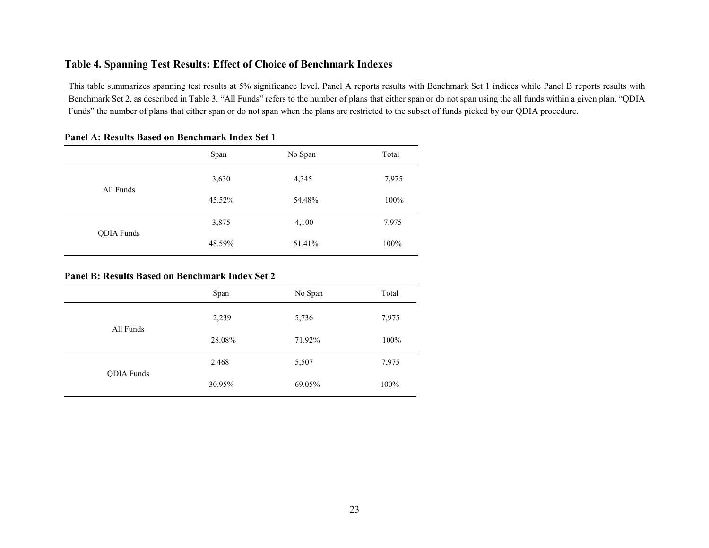## Table 4. Spanning Test Results: Effect of Choice of Benchmark Indexes

This table summarizes spanning test results at 5% significance level. Panel A reports results with Benchmark Set 1 indices while Panel B reports results with Benchmark Set 2, as described in Table 3. "All Funds" refers to the number of plans that either span or do not span using the all funds within a given plan. "QDIA Funds" the number of plans that either span or do not span when the plans are restricted to the subset of funds picked by our QDIA procedure.

|                   | Span   | No Span | Total |
|-------------------|--------|---------|-------|
| All Funds         | 3,630  | 4,345   | 7,975 |
|                   | 45.52% | 54.48%  | 100%  |
| <b>QDIA</b> Funds | 3,875  | 4,100   | 7,975 |
|                   | 48.59% | 51.41%  | 100%  |

## Panel A: Results Based on Benchmark Index Set 1

#### Panel B: Results Based on Benchmark Index Set 2

|            | Span   | No Span | Total |
|------------|--------|---------|-------|
|            | 2,239  | 5,736   | 7,975 |
| All Funds  | 28.08% | 71.92%  | 100%  |
|            | 2,468  | 5,507   | 7,975 |
| QDIA Funds | 30.95% | 69.05%  | 100%  |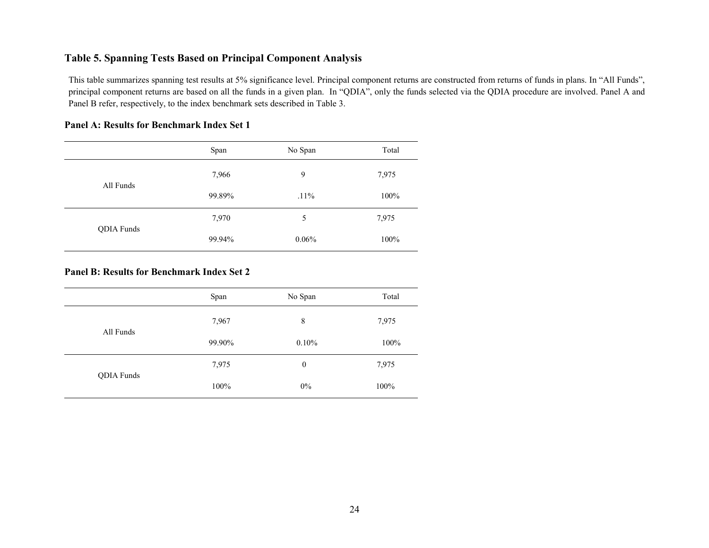# Table 5. Spanning Tests Based on Principal Component Analysis

This table summarizes spanning test results at 5% significance level. Principal component returns are constructed from returns of funds in plans. In "All Funds", principal component returns are based on all the funds in a given plan. In "QDIA", only the funds selected via the QDIA procedure are involved. Panel A and Panel B refer, respectively, to the index benchmark sets described in Table 3.

|            | Span   | No Span | Total |
|------------|--------|---------|-------|
|            | 7,966  | 9       | 7,975 |
| All Funds  | 99.89% | $.11\%$ | 100%  |
| QDIA Funds | 7,970  | 5       | 7,975 |
|            | 99.94% | 0.06%   | 100%  |

## Panel A: Results for Benchmark Index Set 1

## Panel B: Results for Benchmark Index Set 2

|            | Span   | No Span          | Total |
|------------|--------|------------------|-------|
|            | 7,967  | 8                | 7,975 |
| All Funds  | 99.90% | 0.10%            | 100%  |
| QDIA Funds | 7,975  | $\boldsymbol{0}$ | 7,975 |
|            | 100%   | $0\%$            | 100%  |